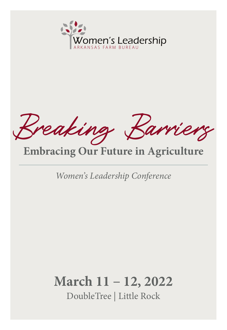

Breaking Barriers

# **Embracing Our Future in Agriculture**

*Women's Leadership Conference*

# **March 11** – **12, 2022**

DoubleTree | Little Rock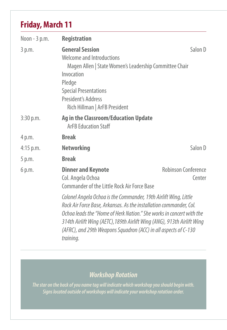## **Friday, March 11**

| Noon - 3 p.m. | <b>Registration</b>                                                                                                                                                                                                                                                                                                                                                       |                               |
|---------------|---------------------------------------------------------------------------------------------------------------------------------------------------------------------------------------------------------------------------------------------------------------------------------------------------------------------------------------------------------------------------|-------------------------------|
| 3 p.m.        | <b>General Session</b><br>Welcome and Introductions<br>Magen Allen   State Women's Leadership Committee Chair<br>Invocation<br>Pledge<br><b>Special Presentations</b><br>President's Address<br>Rich Hillman   ArFB President                                                                                                                                             | Salon D                       |
| $3:30$ p.m.   | <b>Ag in the Classroom/Education Update</b><br><b>ArFB Education Staff</b>                                                                                                                                                                                                                                                                                                |                               |
| 4 p.m.        | <b>Break</b>                                                                                                                                                                                                                                                                                                                                                              |                               |
| $4:15$ p.m.   | <b>Networking</b>                                                                                                                                                                                                                                                                                                                                                         | Salon D                       |
| 5 p.m.        | <b>Break</b>                                                                                                                                                                                                                                                                                                                                                              |                               |
| 6 p.m.        | <b>Dinner and Keynote</b><br>Col. Angela Ochoa<br><b>Commander of the Little Rock Air Force Base</b>                                                                                                                                                                                                                                                                      | Robinson Conference<br>Center |
|               | Colonel Angela Ochoa is the Commander, 19th Airlift Wing, Little<br>Rock Air Force Base, Arkansas. As the installation commander, Col.<br>Ochoa leads the "Home of Herk Nation." She works in concert with the<br>314th Airlift Wing (AETC), 189th Airlift Wing (ANG), 913th Airlift Wing<br>(AFRC), and 29th Weapons Squadron (ACC) in all aspects of C-130<br>training. |                               |

## *Workshop Rotation*

*The star on the back of you name tag will indicate which workshop you should begin with. Signs located outside of workshops will indicate your workshop rotation order.*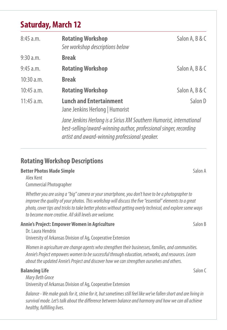## **Saturday, March 12**

| 8:45 a.m.    | <b>Rotating Workshop</b><br>See workshop descriptions below                                                                                                                                 | Salon A, B & C |
|--------------|---------------------------------------------------------------------------------------------------------------------------------------------------------------------------------------------|----------------|
| 9:30 a.m.    | <b>Break</b>                                                                                                                                                                                |                |
| 9:45 a.m.    | <b>Rotating Workshop</b>                                                                                                                                                                    | Salon A, B & C |
| 10:30 a.m.   | <b>Break</b>                                                                                                                                                                                |                |
| $10:45$ a.m. | <b>Rotating Workshop</b>                                                                                                                                                                    | Salon A, B & C |
| $11:45$ a.m. | <b>Lunch and Entertainment</b><br>Jane Jenkins Herlong   Humorist                                                                                                                           | Salon D        |
|              | Jane Jenkins Herlong is a Sirius XM Southern Humorist, international<br>best-selling/award-winning author, professional singer, recording<br>artist and award-winning professional speaker. |                |

### **Rotating Workshop Descriptions**

#### **Better Photos Made Simple** Salon A

Alex Kent Commercial Photographer

*Whether you are using a "big" camera or your smartphone, you don't have to be a photographer to improve the quality of your photos. This workshop will discuss the five "essential" elements to a great photo, cover tips and tricks to take better photos without getting overly technical, and explore some ways to become more creative. All skill levels are welcome.* 

### **Annie's Project: Empower Women in Agriculture and Salon Branch Branch Branch Branch Branch Branch Branch Branch Branch Branch Branch Branch Branch Branch Branch Branch Branch Branch Branch Branch Branch Branch Branch Bran**

Dr. Laura Hendrix University of Arkansas Division of Ag, Cooperative Extension

*Women in agriculture are change agents who strengthen their businesses, families, and communities. Annie's Project empowers women to be successful through education, networks, and resources. Learn about the updated Annie's Project and discover how we can strengthen ourselves and others.*

### **Balancing Life Salon Communication Communication Communication Communication Communication Communication Communication Communication Communication Communication Communication Communication Communication Communication Comm**

*Mary Beth Groce* University of Arkansas Division of Ag, Cooperative Extension

*Balance - We make goals for it, strive for it, but sometimes still feel like we've fallen short and are living in survival mode. Let's talk about the difference between balance and harmony and how we can all achieve healthy, fulfilling lives.*